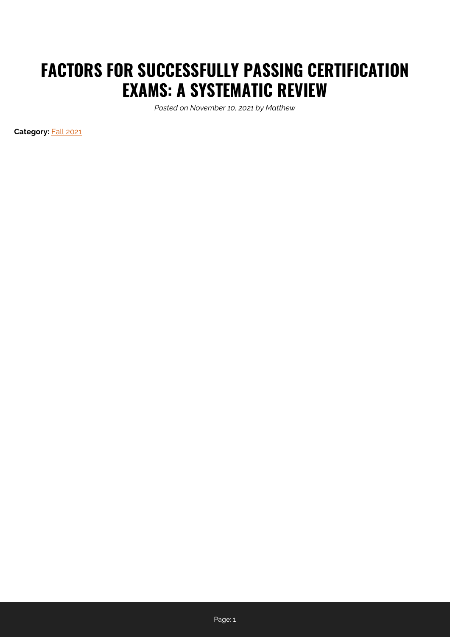# **FACTORS FOR SUCCESSFULLY PASSING CERTIFICATION EXAMS: A SYSTEMATIC REVIEW**

*Posted on November 10, 2021 by Matthew*

**Category:** [Fall 2021](https://perspectives.ahima.org/category/fall-2021/)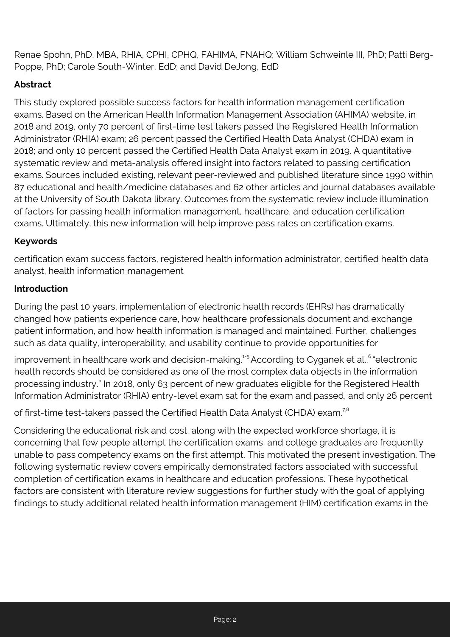Renae Spohn, PhD, MBA, RHIA, CPHI, CPHQ, FAHIMA, FNAHQ; William Schweinle III, PhD; Patti Berg-Poppe, PhD; Carole South-Winter, EdD; and David DeJong, EdD

# **Abstract**

This study explored possible success factors for health information management certification exams. Based on the American Health Information Management Association (AHIMA) website, in 2018 and 2019, only 70 percent of first-time test takers passed the Registered Health Information Administrator (RHIA) exam; 26 percent passed the Certified Health Data Analyst (CHDA) exam in 2018; and only 10 percent passed the Certified Health Data Analyst exam in 2019. A quantitative systematic review and meta-analysis offered insight into factors related to passing certification exams. Sources included existing, relevant peer-reviewed and published literature since 1990 within 87 educational and health/medicine databases and 62 other articles and journal databases available at the University of South Dakota library. Outcomes from the systematic review include illumination of factors for passing health information management, healthcare, and education certification exams. Ultimately, this new information will help improve pass rates on certification exams.

#### **Keywords**

certification exam success factors, registered health information administrator, certified health data analyst, health information management

#### **Introduction**

During the past 10 years, implementation of electronic health records (EHRs) has dramatically changed how patients experience care, how healthcare professionals document and exchange patient information, and how health information is managed and maintained. Further, challenges such as data quality, interoperability, and usability continue to provide opportunities for

improvement in healthcare work and decision-making.<sup>1-5</sup> According to Cyganek et al.,<sup>6</sup> "electronic health records should be considered as one of the most complex data objects in the information processing industry." In 2018, only 63 percent of new graduates eligible for the Registered Health Information Administrator (RHIA) entry-level exam sat for the exam and passed, and only 26 percent

of first-time test-takers passed the Certified Health Data Analyst (CHDA) exam.<sup>7,8</sup>

Considering the educational risk and cost, along with the expected workforce shortage, it is concerning that few people attempt the certification exams, and college graduates are frequently unable to pass competency exams on the first attempt. This motivated the present investigation. The following systematic review covers empirically demonstrated factors associated with successful completion of certification exams in healthcare and education professions. These hypothetical factors are consistent with literature review suggestions for further study with the goal of applying findings to study additional related health information management (HIM) certification exams in the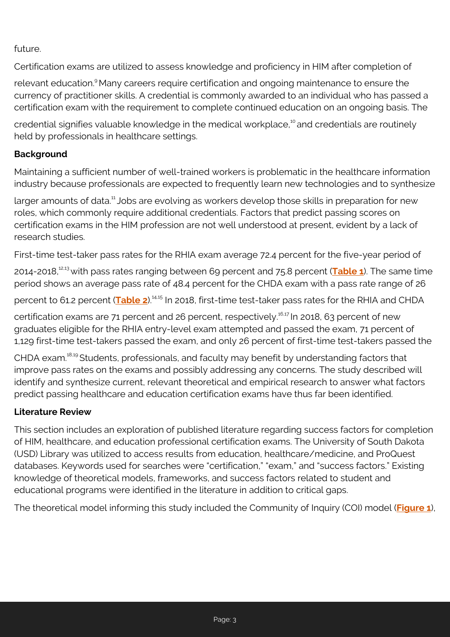future.

Certification exams are utilized to assess knowledge and proficiency in HIM after completion of

relevant education.<sup>9</sup> Many careers require certification and ongoing maintenance to ensure the currency of practitioner skills. A credential is commonly awarded to an individual who has passed a certification exam with the requirement to complete continued education on an ongoing basis. The

credential signifies valuable knowledge in the medical workplace,<sup>10</sup> and credentials are routinely held by professionals in healthcare settings.

# **Background**

Maintaining a sufficient number of well-trained workers is problematic in the healthcare information industry because professionals are expected to frequently learn new technologies and to synthesize

larger amounts of data.<sup>11</sup> Jobs are evolving as workers develop those skills in preparation for new roles, which commonly require additional credentials. Factors that predict passing scores on certification exams in the HIM profession are not well understood at present, evident by a lack of research studies.

First-time test-taker pass rates for the RHIA exam average 72.4 percent for the five-year period of

2014-2018,12,13 with pass rates ranging between 69 percent and 75.8 percent (**[Table 1](https://perspectives.ahima.org/wp-content/uploads/2021/11/Cert-Exams_Table-1.pdf)**). The same time period shows an average pass rate of 48.4 percent for the CHDA exam with a pass rate range of 26

percent to 61.2 percent (**[Table 2](https://perspectives.ahima.org/wp-content/uploads/2021/11/Cert-Exams_Table-2.pdf)**).<sup>14,15</sup> In 2018, first-time test-taker pass rates for the RHIA and CHDA

certification exams are 71 percent and 26 percent, respectively.<sup>16,17</sup> In 2018, 63 percent of new graduates eligible for the RHIA entry-level exam attempted and passed the exam, 71 percent of 1,129 first-time test-takers passed the exam, and only 26 percent of first-time test-takers passed the

CHDA exam.<sup>18,19</sup> Students, professionals, and faculty may benefit by understanding factors that improve pass rates on the exams and possibly addressing any concerns. The study described will identify and synthesize current, relevant theoretical and empirical research to answer what factors predict passing healthcare and education certification exams have thus far been identified.

## **Literature Review**

This section includes an exploration of published literature regarding success factors for completion of HIM, healthcare, and education professional certification exams. The University of South Dakota (USD) Library was utilized to access results from education, healthcare/medicine, and ProQuest databases. Keywords used for searches were "certification," "exam," and "success factors." Existing knowledge of theoretical models, frameworks, and success factors related to student and educational programs were identified in the literature in addition to critical gaps.

The theoretical model informing this study included the Community of Inquiry (COI) model (**[Figure 1](https://perspectives.ahima.org/wp-content/uploads/2021/11/Cert-Exams_Figure-1.pdf)**),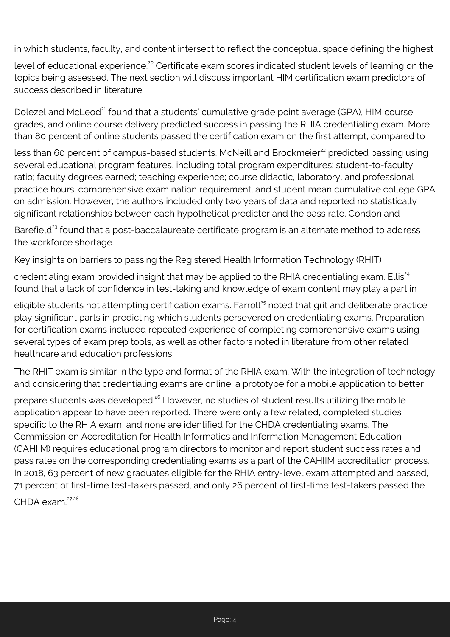in which students, faculty, and content intersect to reflect the conceptual space defining the highest

level of educational experience.<sup>20</sup> Certificate exam scores indicated student levels of learning on the topics being assessed. The next section will discuss important HIM certification exam predictors of success described in literature.

Dolezel and McLeod<sup>21</sup> found that a students' cumulative grade point average (GPA), HIM course grades, and online course delivery predicted success in passing the RHIA credentialing exam. More than 80 percent of online students passed the certification exam on the first attempt, compared to

less than 60 percent of campus-based students. McNeill and Brockmeier<sup>22</sup> predicted passing using several educational program features, including total program expenditures; student-to-faculty ratio; faculty degrees earned; teaching experience; course didactic, laboratory, and professional practice hours; comprehensive examination requirement; and student mean cumulative college GPA on admission. However, the authors included only two years of data and reported no statistically significant relationships between each hypothetical predictor and the pass rate. Condon and

Barefield<sup>23</sup> found that a post-baccalaureate certificate program is an alternate method to address the workforce shortage.

Key insights on barriers to passing the Registered Health Information Technology (RHIT)

credentialing exam provided insight that may be applied to the RHIA credentialing exam. Ellis<sup>24</sup> found that a lack of confidence in test-taking and knowledge of exam content may play a part in

eligible students not attempting certification exams. Farroll<sup>25</sup> noted that grit and deliberate practice play significant parts in predicting which students persevered on credentialing exams. Preparation for certification exams included repeated experience of completing comprehensive exams using several types of exam prep tools, as well as other factors noted in literature from other related healthcare and education professions.

The RHIT exam is similar in the type and format of the RHIA exam. With the integration of technology and considering that credentialing exams are online, a prototype for a mobile application to better

prepare students was developed.<sup>26</sup> However, no studies of student results utilizing the mobile application appear to have been reported. There were only a few related, completed studies specific to the RHIA exam, and none are identified for the CHDA credentialing exams. The Commission on Accreditation for Health Informatics and Information Management Education (CAHIIM) requires educational program directors to monitor and report student success rates and pass rates on the corresponding credentialing exams as a part of the CAHIIM accreditation process. In 2018, 63 percent of new graduates eligible for the RHIA entry-level exam attempted and passed, 71 percent of first-time test-takers passed, and only 26 percent of first-time test-takers passed the

 $CHDA$  exam  $^{27,28}$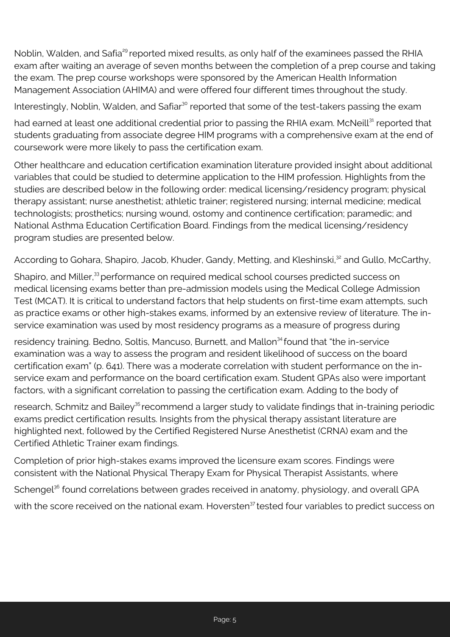Noblin, Walden, and Safia<sup>29</sup> reported mixed results, as only half of the examinees passed the RHIA exam after waiting an average of seven months between the completion of a prep course and taking the exam. The prep course workshops were sponsored by the American Health Information Management Association (AHIMA) and were offered four different times throughout the study.

Interestingly, Noblin, Walden, and Safiar<sup>30</sup> reported that some of the test-takers passing the exam

had earned at least one additional credential prior to passing the RHIA exam. McNeill<sup>31</sup> reported that students graduating from associate degree HIM programs with a comprehensive exam at the end of coursework were more likely to pass the certification exam.

Other healthcare and education certification examination literature provided insight about additional variables that could be studied to determine application to the HIM profession. Highlights from the studies are described below in the following order: medical licensing/residency program; physical therapy assistant; nurse anesthetist; athletic trainer; registered nursing; internal medicine; medical technologists; prosthetics; nursing wound, ostomy and continence certification; paramedic; and National Asthma Education Certification Board. Findings from the medical licensing/residency program studies are presented below.

According to Gohara, Shapiro, Jacob, Khuder, Gandy, Metting, and Kleshinski,<sup>32</sup> and Gullo, McCarthy,

Shapiro, and Miller,<sup>33</sup> performance on required medical school courses predicted success on medical licensing exams better than pre-admission models using the Medical College Admission Test (MCAT). It is critical to understand factors that help students on first-time exam attempts, such as practice exams or other high-stakes exams, informed by an extensive review of literature. The inservice examination was used by most residency programs as a measure of progress during

residency training. Bedno, Soltis, Mancuso, Burnett, and Mallon<sup>34</sup> found that "the in-service examination was a way to assess the program and resident likelihood of success on the board certification exam" (p. 641). There was a moderate correlation with student performance on the inservice exam and performance on the board certification exam. Student GPAs also were important factors, with a significant correlation to passing the certification exam. Adding to the body of

research, Schmitz and Bailey<sup>35</sup> recommend a larger study to validate findings that in-training periodic exams predict certification results. Insights from the physical therapy assistant literature are highlighted next, followed by the Certified Registered Nurse Anesthetist (CRNA) exam and the Certified Athletic Trainer exam findings.

Completion of prior high-stakes exams improved the licensure exam scores. Findings were consistent with the National Physical Therapy Exam for Physical Therapist Assistants, where Schengel<sup>36</sup> found correlations between grades received in anatomy, physiology, and overall GPA with the score received on the national exam. Hoversten<sup>37</sup> tested four variables to predict success on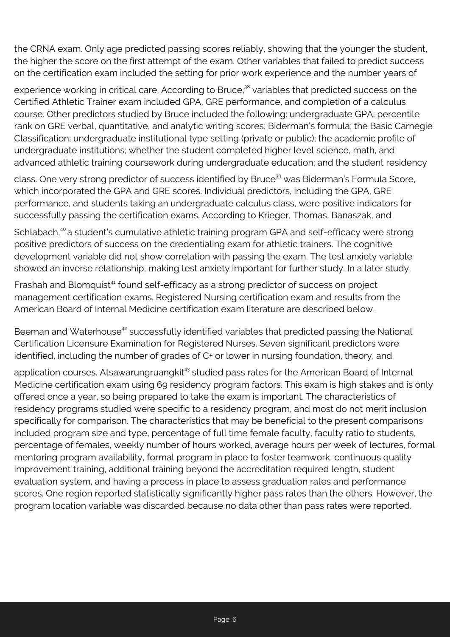the CRNA exam. Only age predicted passing scores reliably, showing that the younger the student, the higher the score on the first attempt of the exam. Other variables that failed to predict success on the certification exam included the setting for prior work experience and the number years of

experience working in critical care. According to Bruce,<sup>38</sup> variables that predicted success on the Certified Athletic Trainer exam included GPA, GRE performance, and completion of a calculus course. Other predictors studied by Bruce included the following: undergraduate GPA; percentile rank on GRE verbal, quantitative, and analytic writing scores; Biderman's formula; the Basic Carnegie Classification; undergraduate institutional type setting (private or public); the academic profile of undergraduate institutions; whether the student completed higher level science, math, and advanced athletic training coursework during undergraduate education; and the student residency

class. One very strong predictor of success identified by Bruce<sup>39</sup> was Biderman's Formula Score, which incorporated the GPA and GRE scores. Individual predictors, including the GPA, GRE performance, and students taking an undergraduate calculus class, were positive indicators for successfully passing the certification exams. According to Krieger, Thomas, Banaszak, and

Schlabach,<sup>40</sup> a student's cumulative athletic training program GPA and self-efficacy were strong positive predictors of success on the credentialing exam for athletic trainers. The cognitive development variable did not show correlation with passing the exam. The test anxiety variable showed an inverse relationship, making test anxiety important for further study. In a later study,

Frashah and Blomquist<sup>41</sup> found self-efficacy as a strong predictor of success on project management certification exams. Registered Nursing certification exam and results from the American Board of Internal Medicine certification exam literature are described below.

Beeman and Waterhouse<sup>42</sup> successfully identified variables that predicted passing the National Certification Licensure Examination for Registered Nurses. Seven significant predictors were identified, including the number of grades of C+ or lower in nursing foundation, theory, and

application courses. Atsawarungruangkit<sup>43</sup> studied pass rates for the American Board of Internal Medicine certification exam using 69 residency program factors. This exam is high stakes and is only offered once a year, so being prepared to take the exam is important. The characteristics of residency programs studied were specific to a residency program, and most do not merit inclusion specifically for comparison. The characteristics that may be beneficial to the present comparisons included program size and type, percentage of full time female faculty, faculty ratio to students, percentage of females, weekly number of hours worked, average hours per week of lectures, formal mentoring program availability, formal program in place to foster teamwork, continuous quality improvement training, additional training beyond the accreditation required length, student evaluation system, and having a process in place to assess graduation rates and performance scores. One region reported statistically significantly higher pass rates than the others. However, the program location variable was discarded because no data other than pass rates were reported.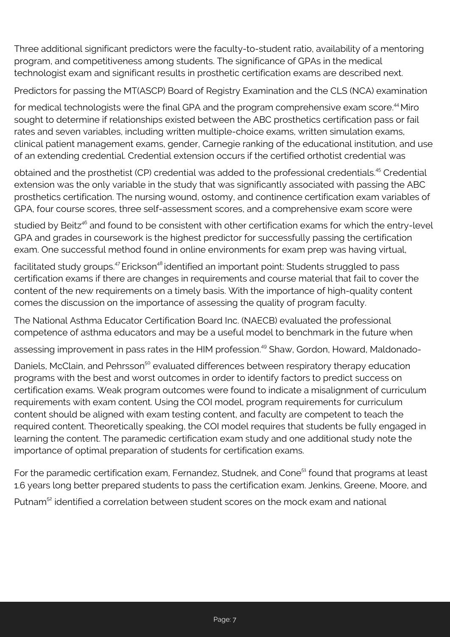Three additional significant predictors were the faculty-to-student ratio, availability of a mentoring program, and competitiveness among students. The significance of GPAs in the medical technologist exam and significant results in prosthetic certification exams are described next.

Predictors for passing the MT(ASCP) Board of Registry Examination and the CLS (NCA) examination

for medical technologists were the final GPA and the program comprehensive exam score.<sup>44</sup> Miro sought to determine if relationships existed between the ABC prosthetics certification pass or fail rates and seven variables, including written multiple-choice exams, written simulation exams, clinical patient management exams, gender, Carnegie ranking of the educational institution, and use of an extending credential. Credential extension occurs if the certified orthotist credential was

obtained and the prosthetist (CP) credential was added to the professional credentials.<sup>45</sup> Credential extension was the only variable in the study that was significantly associated with passing the ABC prosthetics certification. The nursing wound, ostomy, and continence certification exam variables of GPA, four course scores, three self-assessment scores, and a comprehensive exam score were

studied by Beitz<sup>46</sup> and found to be consistent with other certification exams for which the entry-level GPA and grades in coursework is the highest predictor for successfully passing the certification exam. One successful method found in online environments for exam prep was having virtual,

facilitated study groups.<sup>47</sup> Erickson<sup>48</sup> identified an important point: Students struggled to pass certification exams if there are changes in requirements and course material that fail to cover the content of the new requirements on a timely basis. With the importance of high-quality content comes the discussion on the importance of assessing the quality of program faculty.

The National Asthma Educator Certification Board Inc. (NAECB) evaluated the professional competence of asthma educators and may be a useful model to benchmark in the future when

assessing improvement in pass rates in the HIM profession.<sup>49</sup> Shaw, Gordon, Howard, Maldonado-

Daniels, McClain, and Pehrsson<sup>50</sup> evaluated differences between respiratory therapy education programs with the best and worst outcomes in order to identify factors to predict success on certification exams. Weak program outcomes were found to indicate a misalignment of curriculum requirements with exam content. Using the COI model, program requirements for curriculum content should be aligned with exam testing content, and faculty are competent to teach the required content. Theoretically speaking, the COI model requires that students be fully engaged in learning the content. The paramedic certification exam study and one additional study note the importance of optimal preparation of students for certification exams.

For the paramedic certification exam, Fernandez, Studnek, and Cone<sup>51</sup> found that programs at least 1.6 years long better prepared students to pass the certification exam. Jenkins, Greene, Moore, and

Putnam<sup>52</sup> identified a correlation between student scores on the mock exam and national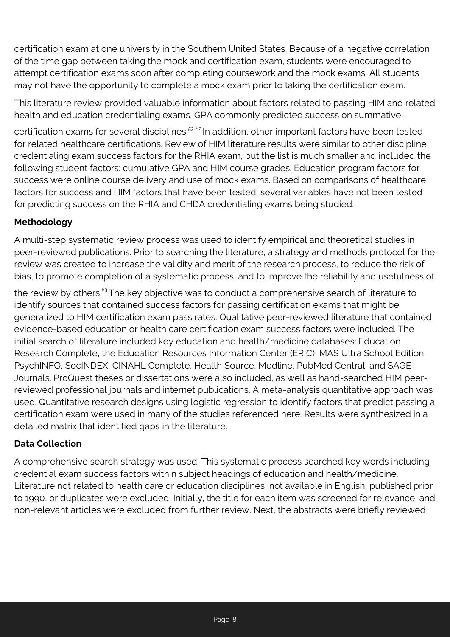certification exam at one university in the Southern United States. Because of a negative correlation of the time gap between taking the mock and certification exam, students were encouraged to attempt certification exams soon after completing coursework and the mock exams. All students may not have the opportunity to complete a mock exam prior to taking the certification exam.

This literature review provided valuable information about factors related to passing HIM and related health and education credentialing exams. GPA commonly predicted success on summative

certification exams for several disciplines,<sup>53-62</sup> In addition, other important factors have been tested for related healthcare certifications. Review of HIM literature results were similar to other discipline credentialing exam success factors for the RHIA exam, but the list is much smaller and included the following student factors: cumulative GPA and HIM course grades. Education program factors for success were online course delivery and use of mock exams. Based on comparisons of healthcare factors for success and HIM factors that have been tested, several variables have not been tested for predicting success on the RHIA and CHDA credentialing exams being studied.

# **Methodology**

A multi-step systematic review process was used to identify empirical and theoretical studies in peer-reviewed publications. Prior to searching the literature, a strategy and methods protocol for the review was created to increase the validity and merit of the research process, to reduce the risk of bias, to promote completion of a systematic process, and to improve the reliability and usefulness of

the review by others.<sup>63</sup>The key objective was to conduct a comprehensive search of literature to identify sources that contained success factors for passing certification exams that might be generalized to HIM certification exam pass rates. Qualitative peer-reviewed literature that contained evidence-based education or health care certification exam success factors were included. The initial search of literature included key education and health/medicine databases: Education Research Complete, the Education Resources Information Center (ERIC), MAS Ultra School Edition, PsychINFO, SocINDEX, CINAHL Complete, Health Source, Medline, PubMed Central, and SAGE Journals. ProQuest theses or dissertations were also included, as well as hand-searched HIM peerreviewed professional journals and internet publications. A meta-analysis quantitative approach was used. Quantitative research designs using logistic regression to identify factors that predict passing a certification exam were used in many of the studies referenced here. Results were synthesized in a detailed matrix that identified gaps in the literature.

## **Data Collection**

A comprehensive search strategy was used. This systematic process searched key words including credential exam success factors within subject headings of education and health/medicine. Literature not related to health care or education disciplines, not available in English, published prior to 1990, or duplicates were excluded. Initially, the title for each item was screened for relevance, and non-relevant articles were excluded from further review. Next, the abstracts were briefly reviewed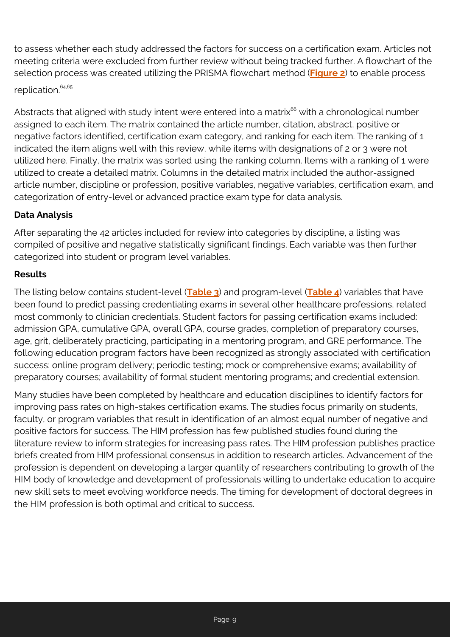to assess whether each study addressed the factors for success on a certification exam. Articles not meeting criteria were excluded from further review without being tracked further. A flowchart of the selection process was created utilizing the PRISMA flowchart method (**[Figure 2](https://perspectives.ahima.org/wp-content/uploads/2021/11/Cert-Exams_Figure-2.pdf)**) to enable process replication.<sup>64,65</sup>

Abstracts that aligned with study intent were entered into a matrix<sup>66</sup> with a chronological number assigned to each item. The matrix contained the article number, citation, abstract, positive or negative factors identified, certification exam category, and ranking for each item. The ranking of 1 indicated the item aligns well with this review, while items with designations of 2 or 3 were not utilized here. Finally, the matrix was sorted using the ranking column. Items with a ranking of 1 were utilized to create a detailed matrix. Columns in the detailed matrix included the author-assigned article number, discipline or profession, positive variables, negative variables, certification exam, and categorization of entry-level or advanced practice exam type for data analysis.

# **Data Analysis**

After separating the 42 articles included for review into categories by discipline, a listing was compiled of positive and negative statistically significant findings. Each variable was then further categorized into student or program level variables.

#### **Results**

The listing below contains student-level (**[Table 3](https://perspectives.ahima.org/wp-content/uploads/2021/11/Cert-Exams_Table-3.pdf)**) and program-level (**[Table 4](https://perspectives.ahima.org/wp-content/uploads/2021/11/Cert-Exams_Table-4.pdf)**) variables that have been found to predict passing credentialing exams in several other healthcare professions, related most commonly to clinician credentials. Student factors for passing certification exams included: admission GPA, cumulative GPA, overall GPA, course grades, completion of preparatory courses, age, grit, deliberately practicing, participating in a mentoring program, and GRE performance. The following education program factors have been recognized as strongly associated with certification success: online program delivery; periodic testing; mock or comprehensive exams; availability of preparatory courses; availability of formal student mentoring programs; and credential extension.

Many studies have been completed by healthcare and education disciplines to identify factors for improving pass rates on high-stakes certification exams. The studies focus primarily on students, faculty, or program variables that result in identification of an almost equal number of negative and positive factors for success. The HIM profession has few published studies found during the literature review to inform strategies for increasing pass rates. The HIM profession publishes practice briefs created from HIM professional consensus in addition to research articles. Advancement of the profession is dependent on developing a larger quantity of researchers contributing to growth of the HIM body of knowledge and development of professionals willing to undertake education to acquire new skill sets to meet evolving workforce needs. The timing for development of doctoral degrees in the HIM profession is both optimal and critical to success.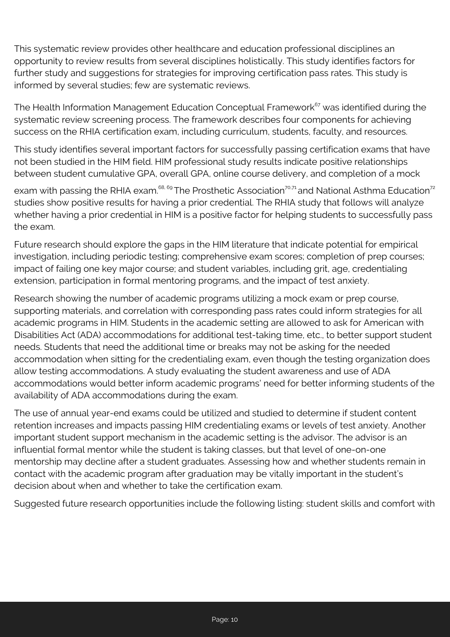This systematic review provides other healthcare and education professional disciplines an opportunity to review results from several disciplines holistically. This study identifies factors for further study and suggestions for strategies for improving certification pass rates. This study is informed by several studies; few are systematic reviews.

The Health Information Management Education Conceptual Framework<sup>67</sup> was identified during the systematic review screening process. The framework describes four components for achieving success on the RHIA certification exam, including curriculum, students, faculty, and resources.

This study identifies several important factors for successfully passing certification exams that have not been studied in the HIM field. HIM professional study results indicate positive relationships between student cumulative GPA, overall GPA, online course delivery, and completion of a mock

exam with passing the RHIA exam.<sup>68, 69</sup> The Prosthetic Association<sup>70,71</sup> and National Asthma Education<sup>72</sup> studies show positive results for having a prior credential. The RHIA study that follows will analyze whether having a prior credential in HIM is a positive factor for helping students to successfully pass the exam.

Future research should explore the gaps in the HIM literature that indicate potential for empirical investigation, including periodic testing; comprehensive exam scores; completion of prep courses; impact of failing one key major course; and student variables, including grit, age, credentialing extension, participation in formal mentoring programs, and the impact of test anxiety.

Research showing the number of academic programs utilizing a mock exam or prep course, supporting materials, and correlation with corresponding pass rates could inform strategies for all academic programs in HIM. Students in the academic setting are allowed to ask for American with Disabilities Act (ADA) accommodations for additional test-taking time, etc., to better support student needs. Students that need the additional time or breaks may not be asking for the needed accommodation when sitting for the credentialing exam, even though the testing organization does allow testing accommodations. A study evaluating the student awareness and use of ADA accommodations would better inform academic programs' need for better informing students of the availability of ADA accommodations during the exam.

The use of annual year-end exams could be utilized and studied to determine if student content retention increases and impacts passing HIM credentialing exams or levels of test anxiety. Another important student support mechanism in the academic setting is the advisor. The advisor is an influential formal mentor while the student is taking classes, but that level of one-on-one mentorship may decline after a student graduates. Assessing how and whether students remain in contact with the academic program after graduation may be vitally important in the student's decision about when and whether to take the certification exam.

Suggested future research opportunities include the following listing: student skills and comfort with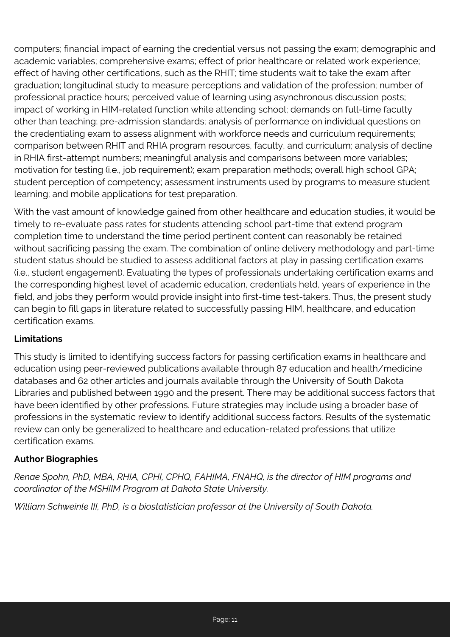computers; financial impact of earning the credential versus not passing the exam; demographic and academic variables; comprehensive exams; effect of prior healthcare or related work experience; effect of having other certifications, such as the RHIT; time students wait to take the exam after graduation; longitudinal study to measure perceptions and validation of the profession; number of professional practice hours; perceived value of learning using asynchronous discussion posts; impact of working in HIM-related function while attending school; demands on full-time faculty other than teaching; pre-admission standards; analysis of performance on individual questions on the credentialing exam to assess alignment with workforce needs and curriculum requirements; comparison between RHIT and RHIA program resources, faculty, and curriculum; analysis of decline in RHIA first-attempt numbers; meaningful analysis and comparisons between more variables; motivation for testing (i.e., job requirement); exam preparation methods; overall high school GPA; student perception of competency; assessment instruments used by programs to measure student learning; and mobile applications for test preparation.

With the vast amount of knowledge gained from other healthcare and education studies, it would be timely to re-evaluate pass rates for students attending school part-time that extend program completion time to understand the time period pertinent content can reasonably be retained without sacrificing passing the exam. The combination of online delivery methodology and part-time student status should be studied to assess additional factors at play in passing certification exams (i.e., student engagement). Evaluating the types of professionals undertaking certification exams and the corresponding highest level of academic education, credentials held, years of experience in the field, and jobs they perform would provide insight into first-time test-takers. Thus, the present study can begin to fill gaps in literature related to successfully passing HIM, healthcare, and education certification exams.

## **Limitations**

This study is limited to identifying success factors for passing certification exams in healthcare and education using peer-reviewed publications available through 87 education and health/medicine databases and 62 other articles and journals available through the University of South Dakota Libraries and published between 1990 and the present. There may be additional success factors that have been identified by other professions. Future strategies may include using a broader base of professions in the systematic review to identify additional success factors. Results of the systematic review can only be generalized to healthcare and education-related professions that utilize certification exams.

#### **Author Biographies**

*Renae Spohn, PhD, MBA, RHIA, CPHI, CPHQ, FAHIMA, FNAHQ, is the director of HIM programs and coordinator of the MSHIIM Program at Dakota State University.*

*William Schweinle III, PhD, is a biostatistician professor at the University of South Dakota.*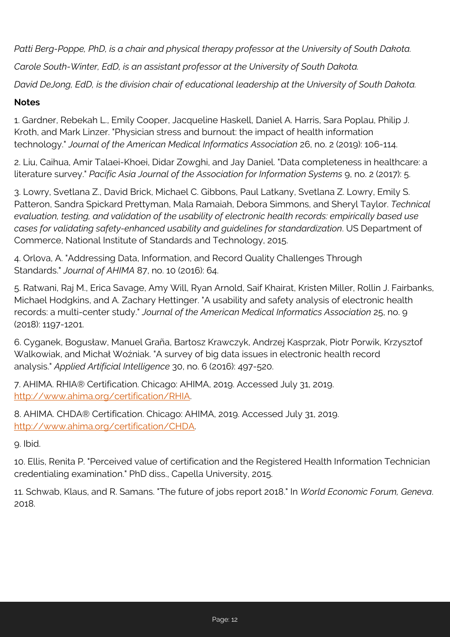*Patti Berg-Poppe, PhD, is a chair and physical therapy professor at the University of South Dakota.*

*Carole South-Winter, EdD, is an assistant professor at the University of South Dakota.*

*David DeJong, EdD, is the division chair of educational leadership at the University of South Dakota.*

#### **Notes**

1. Gardner, Rebekah L., Emily Cooper, Jacqueline Haskell, Daniel A. Harris, Sara Poplau, Philip J. Kroth, and Mark Linzer. "Physician stress and burnout: the impact of health information technology." *Journal of the American Medical Informatics Association* 26, no. 2 (2019): 106-114.

2. Liu, Caihua, Amir Talaei-Khoei, Didar Zowghi, and Jay Daniel. "Data completeness in healthcare: a literature survey." *Pacific Asia Journal of the Association for Information Systems* 9, no. 2 (2017): 5.

3. Lowry, Svetlana Z., David Brick, Michael C. Gibbons, Paul Latkany, Svetlana Z. Lowry, Emily S. Patteron, Sandra Spickard Prettyman, Mala Ramaiah, Debora Simmons, and Sheryl Taylor. *Technical evaluation, testing, and validation of the usability of electronic health records: empirically based use cases for validating safety-enhanced usability and guidelines for standardization*. US Department of Commerce, National Institute of Standards and Technology, 2015.

4. Orlova, A. "Addressing Data, Information, and Record Quality Challenges Through Standards." *Journal of AHIMA* 87, no. 10 (2016): 64.

5. Ratwani, Raj M., Erica Savage, Amy Will, Ryan Arnold, Saif Khairat, Kristen Miller, Rollin J. Fairbanks, Michael Hodgkins, and A. Zachary Hettinger. "A usability and safety analysis of electronic health records: a multi-center study." *Journal of the American Medical Informatics Association* 25, no. 9 (2018): 1197-1201.

6. Cyganek, Bogusław, Manuel Graña, Bartosz Krawczyk, Andrzej Kasprzak, Piotr Porwik, Krzysztof Walkowiak, and Michał Woźniak. "A survey of big data issues in electronic health record analysis." *Applied Artificial Intelligence* 30, no. 6 (2016): 497-520.

7. AHIMA. RHIA® Certification. Chicago: AHIMA, 2019. Accessed July 31, 2019. <http://www.ahima.org/certification/RHIA>.

8. AHIMA. CHDA® Certification. Chicago: AHIMA, 2019. Accessed July 31, 2019. <http://www.ahima.org/certification/CHDA>.

9. Ibid.

10. Ellis, Renita P. "Perceived value of certification and the Registered Health Information Technician credentialing examination." PhD diss., Capella University, 2015.

11. Schwab, Klaus, and R. Samans. "The future of jobs report 2018." In *World Economic Forum, Geneva*. 2018.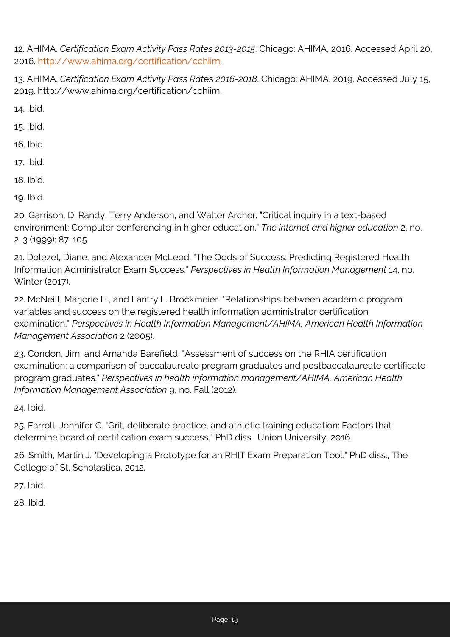12. AHIMA. *Certification Exam Activity Pass Rates 2013-2015*. Chicago: AHIMA, 2016. Accessed April 20, 2016.<http://www.ahima.org/certification/cchiim>.

13. AHIMA. *Certification Exam Activity Pass Rat*es *2016-2018*. Chicago: AHIMA, 2019. Accessed July 15, 2019. http://www.ahima.org/certification/cchiim.

14. Ibid.

15. Ibid.

16. Ibid.

17. Ibid.

18. Ibid.

19. Ibid.

20. Garrison, D. Randy, Terry Anderson, and Walter Archer. "Critical inquiry in a text-based environment: Computer conferencing in higher education." *The internet and higher education* 2, no. 2-3 (1999): 87-105.

21. Dolezel, Diane, and Alexander McLeod. "The Odds of Success: Predicting Registered Health Information Administrator Exam Success." *Perspectives in Health Information Management* 14, no. Winter (2017).

22. McNeill, Marjorie H., and Lantry L. Brockmeier. "Relationships between academic program variables and success on the registered health information administrator certification examination." *Perspectives in Health Information Management/AHIMA, American Health Information Management Association* 2 (2005).

23. Condon, Jim, and Amanda Barefield. "Assessment of success on the RHIA certification examination: a comparison of baccalaureate program graduates and postbaccalaureate certificate program graduates." *Perspectives in health information management/AHIMA, American Health Information Management Association* 9, no. Fall (2012).

24. Ibid.

25. Farroll, Jennifer C. "Grit, deliberate practice, and athletic training education: Factors that determine board of certification exam success." PhD diss., Union University, 2016.

26. Smith, Martin J. "Developing a Prototype for an RHIT Exam Preparation Tool." PhD diss., The College of St. Scholastica, 2012.

27. Ibid.

28. Ibid.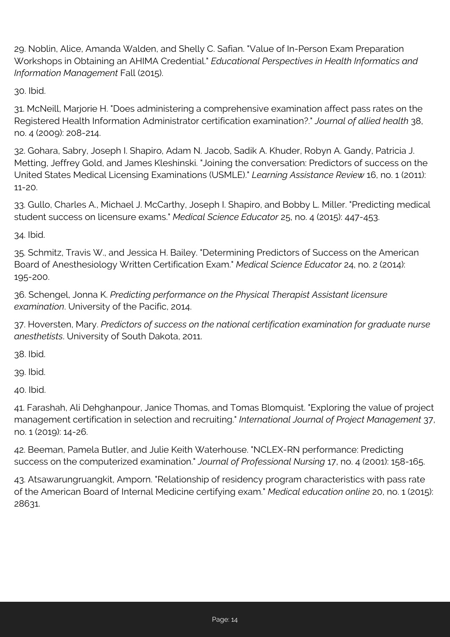29. Noblin, Alice, Amanda Walden, and Shelly C. Safian. "Value of In-Person Exam Preparation Workshops in Obtaining an AHIMA Credential." *Educational Perspectives in Health Informatics and Information Management* Fall (2015).

30. Ibid.

31. McNeill, Marjorie H. "Does administering a comprehensive examination affect pass rates on the Registered Health Information Administrator certification examination?." *Journal of allied health* 38, no. 4 (2009): 208-214.

32. Gohara, Sabry, Joseph I. Shapiro, Adam N. Jacob, Sadik A. Khuder, Robyn A. Gandy, Patricia J. Metting, Jeffrey Gold, and James Kleshinski. "Joining the conversation: Predictors of success on the United States Medical Licensing Examinations (USMLE)." *Learning Assistance Review* 16, no. 1 (2011): 11-20.

33. Gullo, Charles A., Michael J. McCarthy, Joseph I. Shapiro, and Bobby L. Miller. "Predicting medical student success on licensure exams." *Medical Science Educator* 25, no. 4 (2015): 447-453.

34. Ibid.

35. Schmitz, Travis W., and Jessica H. Bailey. "Determining Predictors of Success on the American Board of Anesthesiology Written Certification Exam." *Medical Science Educator* 24, no. 2 (2014): 195-200.

36. Schengel, Jonna K. *Predicting performance on the Physical Therapist Assistant licensure examination*. University of the Pacific, 2014.

37. Hoversten, Mary. *Predictors of success on the national certification examination for graduate nurse anesthetists*. University of South Dakota, 2011.

38. Ibid.

39. Ibid.

40. Ibid.

41. Farashah, Ali Dehghanpour, Janice Thomas, and Tomas Blomquist. "Exploring the value of project management certification in selection and recruiting." *International Journal of Project Management* 37, no. 1 (2019): 14-26.

42. Beeman, Pamela Butler, and Julie Keith Waterhouse. "NCLEX-RN performance: Predicting success on the computerized examination." *Journal of Professional Nursing* 17, no. 4 (2001): 158-165.

43. Atsawarungruangkit, Amporn. "Relationship of residency program characteristics with pass rate of the American Board of Internal Medicine certifying exam." *Medical education online* 20, no. 1 (2015): 28631.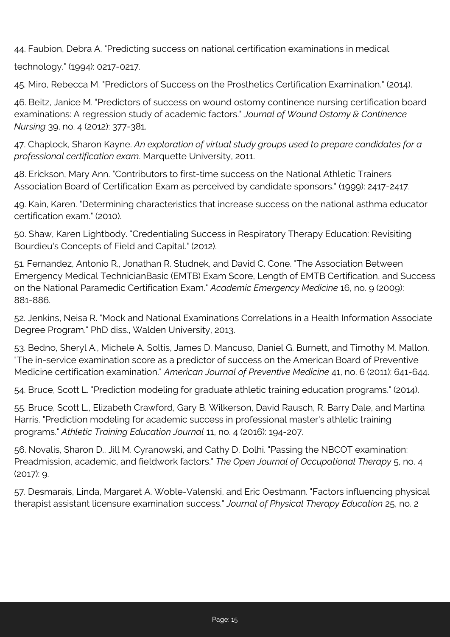44. Faubion, Debra A. "Predicting success on national certification examinations in medical

technology." (1994): 0217-0217.

45. Miro, Rebecca M. "Predictors of Success on the Prosthetics Certification Examination." (2014).

46. Beitz, Janice M. "Predictors of success on wound ostomy continence nursing certification board examinations: A regression study of academic factors." *Journal of Wound Ostomy & Continence Nursing* 39, no. 4 (2012): 377-381.

47. Chaplock, Sharon Kayne. *An exploration of virtual study groups used to prepare candidates for a professional certification exam*. Marquette University, 2011.

48. Erickson, Mary Ann. "Contributors to first-time success on the National Athletic Trainers Association Board of Certification Exam as perceived by candidate sponsors." (1999): 2417-2417.

49. Kain, Karen. "Determining characteristics that increase success on the national asthma educator certification exam." (2010).

50. Shaw, Karen Lightbody. "Credentialing Success in Respiratory Therapy Education: Revisiting Bourdieu's Concepts of Field and Capital." (2012).

51. Fernandez, Antonio R., Jonathan R. Studnek, and David C. Cone. "The Association Between Emergency Medical Technician Basic (EMTB) Exam Score, Length of EMTB Certification, and Success on the National Paramedic Certification Exam." *Academic Emergency Medicine* 16, no. 9 (2009): 881-886.

52. Jenkins, Neisa R. "Mock and National Examinations Correlations in a Health Information Associate Degree Program." PhD diss., Walden University, 2013.

53. Bedno, Sheryl A., Michele A. Soltis, James D. Mancuso, Daniel G. Burnett, and Timothy M. Mallon. "The in-service examination score as a predictor of success on the American Board of Preventive Medicine certification examination." *American Journal of Preventive Medicine* 41, no. 6 (2011): 641-644.

54. Bruce, Scott L. "Prediction modeling for graduate athletic training education programs." (2014).

55. Bruce, Scott L., Elizabeth Crawford, Gary B. Wilkerson, David Rausch, R. Barry Dale, and Martina Harris. "Prediction modeling for academic success in professional master's athletic training programs." *Athletic Training Education Journal* 11, no. 4 (2016): 194-207.

56. Novalis, Sharon D., Jill M. Cyranowski, and Cathy D. Dolhi. "Passing the NBCOT examination: Preadmission, academic, and fieldwork factors." *The Open Journal of Occupational Therapy* 5, no. 4 (2017): 9.

57. Desmarais, Linda, Margaret A. Woble-Valenski, and Eric Oestmann. "Factors influencing physical therapist assistant licensure examination success." *Journal of Physical Therapy Education* 25, no. 2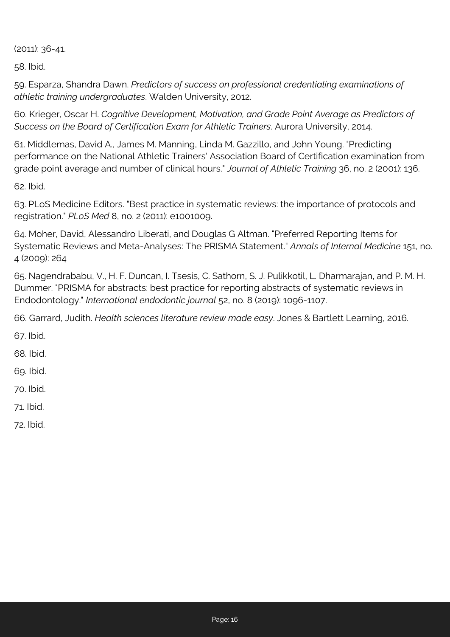(2011): 36-41.

58. Ibid.

59. Esparza, Shandra Dawn. *Predictors of success on professional credentialing examinations of athletic training undergraduates*. Walden University, 2012.

60. Krieger, Oscar H. *Cognitive Development, Motivation, and Grade Point Average as Predictors of Success on the Board of Certification Exam for Athletic Trainers*. Aurora University, 2014.

61. Middlemas, David A., James M. Manning, Linda M. Gazzillo, and John Young. "Predicting performance on the National Athletic Trainers' Association Board of Certification examination from grade point average and number of clinical hours." *Journal of Athletic Training* 36, no. 2 (2001): 136.

62. Ibid.

63. PLoS Medicine Editors. "Best practice in systematic reviews: the importance of protocols and registration." *PLoS Med* 8, no. 2 (2011): e1001009.

64. Moher, David, Alessandro Liberati, and Douglas G Altman. "Preferred Reporting Items for Systematic Reviews and Meta-Analyses: The PRISMA Statement." *Annals of Internal Medicine* 151, no. 4 (2009): 264

65. Nagendrababu, V., H. F. Duncan, I. Tsesis, C. Sathorn, S. J. Pulikkotil, L. Dharmarajan, and P. M. H. Dummer. "PRISMA for abstracts: best practice for reporting abstracts of systematic reviews in Endodontology." *International endodontic journal* 52, no. 8 (2019): 1096-1107.

66. Garrard, Judith. *Health sciences literature review made easy*. Jones & Bartlett Learning, 2016.

67. Ibid.

68. Ibid.

69. Ibid.

70. Ibid.

71. Ibid.

72. Ibid.